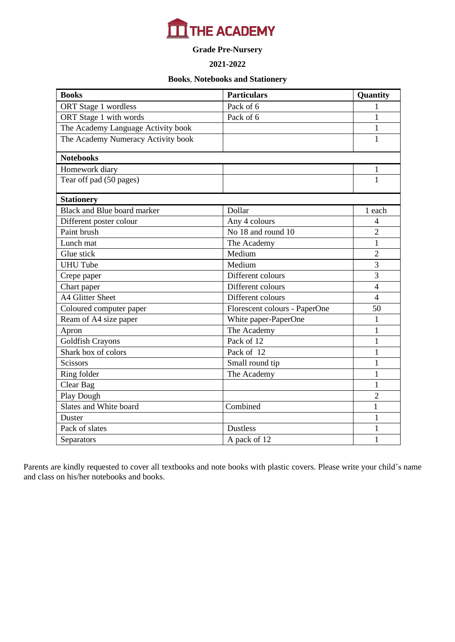

### **Grade Pre-Nursery**

#### **2021-2022**

#### **Books**, **Notebooks and Stationery**

| <b>Books</b>                       | <b>Particulars</b>            | Quantity       |
|------------------------------------|-------------------------------|----------------|
| ORT Stage 1 wordless               | Pack of 6                     | 1              |
| ORT Stage 1 with words             | Pack of 6                     | $\mathbf{1}$   |
| The Academy Language Activity book |                               | $\mathbf{1}$   |
| The Academy Numeracy Activity book |                               | 1              |
| <b>Notebooks</b>                   |                               |                |
| Homework diary                     |                               | $\mathbf{1}$   |
| Tear off pad (50 pages)            |                               | 1              |
| <b>Stationery</b>                  |                               |                |
| <b>Black and Blue board marker</b> | Dollar                        | 1 each         |
| Different poster colour            | Any 4 colours                 | $\overline{4}$ |
| Paint brush                        | No 18 and round 10            | $\overline{2}$ |
| Lunch mat                          | The Academy                   | $\mathbf{1}$   |
| Glue stick                         | Medium                        | $\overline{2}$ |
| <b>UHU Tube</b>                    | Medium                        | 3              |
| Crepe paper                        | Different colours             | 3              |
| Chart paper                        | Different colours             | $\overline{4}$ |
| A4 Glitter Sheet                   | Different colours             | $\overline{4}$ |
| Coloured computer paper            | Florescent colours - PaperOne | 50             |
| Ream of A4 size paper              | White paper-PaperOne          | $\mathbf{1}$   |
| Apron                              | The Academy                   | $\mathbf{1}$   |
| Goldfish Crayons                   | Pack of 12                    | $\mathbf{1}$   |
| Shark box of colors                | Pack of 12                    | $\mathbf{1}$   |
| <b>Scissors</b>                    | Small round tip               | $\mathbf{1}$   |
| Ring folder                        | The Academy                   | $\mathbf{1}$   |
| Clear Bag                          |                               | $\mathbf{1}$   |
| Play Dough                         |                               | $\overline{2}$ |
| Slates and White board             | Combined                      | $\mathbf{1}$   |
| Duster                             |                               | $\mathbf{1}$   |
| Pack of slates                     | <b>Dustless</b>               | $\mathbf 1$    |
| Separators                         | A pack of 12                  | $\mathbf{1}$   |

Parents are kindly requested to cover all textbooks and note books with plastic covers. Please write your child's name and class on his/her notebooks and books.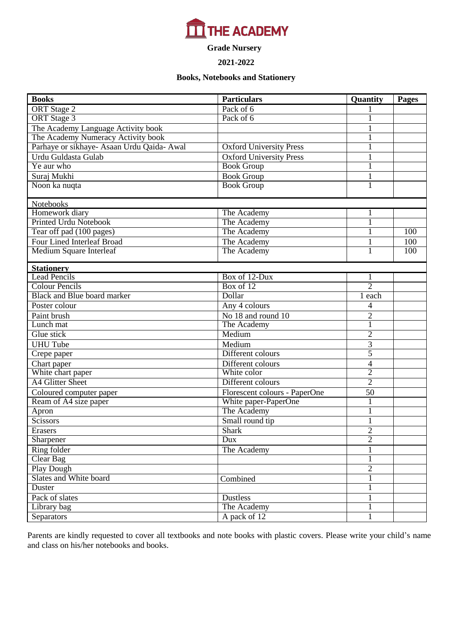

**Grade Nursery**

#### **2021-2022**

#### **Books, Notebooks and Stationery**

| <b>Books</b>                               | <b>Particulars</b>             | Quantity                 | Pages |
|--------------------------------------------|--------------------------------|--------------------------|-------|
| ORT Stage 2                                | Pack of 6                      |                          |       |
| <b>ORT</b> Stage 3                         | Pack of 6                      |                          |       |
| The Academy Language Activity book         |                                |                          |       |
| The Academy Numeracy Activity book         |                                |                          |       |
| Parhaye or sikhaye- Asaan Urdu Qaida- Awal | <b>Oxford University Press</b> | $\mathbf{1}$             |       |
| Urdu Guldasta Gulab                        | <b>Oxford University Press</b> | 1                        |       |
| Ye aur who                                 | <b>Book Group</b>              | $\mathbf{1}$             |       |
| Suraj Mukhi                                | <b>Book Group</b>              | $\mathbf{1}$             |       |
| Noon ka nuqta                              | <b>Book Group</b>              | $\overline{1}$           |       |
|                                            |                                |                          |       |
| <b>Notebooks</b>                           |                                |                          |       |
| Homework diary                             | The Academy                    | 1                        |       |
| <b>Printed Urdu Notebook</b>               | The Academy                    |                          |       |
| Tear off pad (100 pages)                   | The Academy                    |                          | 100   |
| Four Lined Interleaf Broad                 | The Academy                    | $\mathbf{1}$             | 100   |
| Medium Square Interleaf                    | The Academy                    | 1                        | 100   |
| <b>Stationery</b>                          |                                |                          |       |
| <b>Lead Pencils</b>                        | Box of 12-Dux                  | 1                        |       |
| <b>Colour Pencils</b>                      | Box of 12                      | $\overline{2}$           |       |
| <b>Black and Blue board marker</b>         | Dollar                         | 1 each                   |       |
| Poster colour                              | Any 4 colours                  | 4                        |       |
| Paint brush                                | No 18 and round 10             | $\overline{2}$           |       |
| Lunch mat                                  | The Academy                    |                          |       |
| Glue stick                                 | Medium                         | $\overline{2}$           |       |
| <b>UHU</b> Tube                            | Medium                         | 3                        |       |
| Crepe paper                                | Different colours              | 5                        |       |
| Chart paper                                | Different colours              | $\overline{\mathcal{L}}$ |       |
| White chart paper                          | White color                    | $\overline{2}$           |       |
| <b>A4 Glitter Sheet</b>                    | Different colours              | $\overline{2}$           |       |
| Coloured computer paper                    | Florescent colours - PaperOne  | $\overline{50}$          |       |
| Ream of A4 size paper                      | White paper-PaperOne           |                          |       |
| Apron                                      | The Academy                    | $\mathbf{1}$             |       |
| Scissors                                   | Small round tip                |                          |       |
| Erasers                                    | <b>Shark</b>                   | $\overline{2}$           |       |
| Sharpener                                  | Dux                            | $\overline{2}$           |       |
| Ring folder                                | The Academy                    |                          |       |
| Clear Bag                                  |                                | 1                        |       |
| <b>Play Dough</b>                          |                                | $\overline{2}$           |       |
| Slates and White board                     | Combined                       | $\mathbf{1}$             |       |
| Duster                                     |                                | $\mathbf{1}$             |       |
| Pack of slates                             | Dustless                       | $\mathbf{1}$             |       |
| Library bag                                | The Academy                    | 1                        |       |
| <b>Separators</b>                          | A pack of 12                   | $\mathbf{1}$             |       |

Parents are kindly requested to cover all textbooks and note books with plastic covers. Please write your child's name and class on his/her notebooks and books.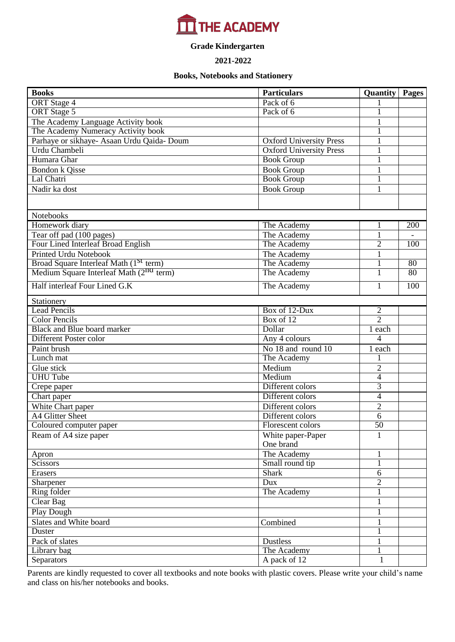# $\boxed{\blacksquare}$  THE ACADEMY

# **Grade Kindergarten**

#### **2021-2022**

#### **Books, Notebooks and Stationery**

| <b>Books</b>                                        | <b>Particulars</b>             | <b>Quantity</b> Pages |     |
|-----------------------------------------------------|--------------------------------|-----------------------|-----|
| <b>ORT</b> Stage 4                                  | Pack of 6                      |                       |     |
| <b>ORT</b> Stage 5                                  | Pack of 6                      |                       |     |
| The Academy Language Activity book                  |                                |                       |     |
| The Academy Numeracy Activity book                  |                                |                       |     |
| Parhaye or sikhaye- Asaan Urdu Qaida- Doum          | <b>Oxford University Press</b> | $\mathbf{1}$          |     |
| Urdu Chambeli                                       | <b>Oxford University Press</b> | $\mathbf{1}$          |     |
| Humara Ghar                                         | <b>Book Group</b>              | $\mathbf{1}$          |     |
| <b>Bondon k Qisse</b>                               | <b>Book Group</b>              | 1                     |     |
| Lal Chatri                                          | <b>Book Group</b>              | $\mathbf{1}$          |     |
| Nadir ka dost                                       | <b>Book Group</b>              | $\mathbf{1}$          |     |
|                                                     |                                |                       |     |
| Notebooks                                           |                                |                       |     |
| Homework diary                                      | The Academy                    | 1                     | 200 |
| Tear off pad (100 pages)                            | The Academy                    | $\mathbf{1}$          |     |
| Four Lined Interleaf Broad English                  | The Academy                    | $\overline{2}$        | 100 |
| <b>Printed Urdu Notebook</b>                        | The Academy                    | $\mathbf{1}$          |     |
| Broad Square Interleaf Math (1 <sup>St</sup> term)  | The Academy                    | $\mathbf{1}$          | 80  |
| Medium Square Interleaf Math (2 <sup>nd</sup> term) | The Academy                    |                       | 80  |
| Half interleaf Four Lined G.K                       | The Academy                    | 1                     | 100 |
| Stationery                                          |                                |                       |     |
| <b>Lead Pencils</b>                                 | Box of 12-Dux                  | $\frac{2}{2}$         |     |
| <b>Color Pencils</b>                                | Box of 12                      |                       |     |
| <b>Black and Blue board marker</b>                  | Dollar                         | 1 each                |     |
| Different Poster color                              | Any 4 colours                  | 4                     |     |
| Paint brush                                         | No 18 and round 10             | 1 each                |     |
| Lunch mat                                           | The Academy                    | 1                     |     |
| Glue stick                                          | Medium                         | $\overline{2}$        |     |
| <b>UHU Tube</b>                                     | Medium                         | $\overline{4}$        |     |
| Crepe paper                                         | Different colors               | 3                     |     |
| Chart paper                                         | Different colors               | $\overline{4}$        |     |
| White Chart paper                                   | Different colors               | $\overline{2}$        |     |
| <b>A4 Glitter Sheet</b>                             | Different colors               | $\overline{6}$        |     |
| Coloured computer paper                             | Florescent colors              | $\overline{50}$       |     |
| Ream of A4 size paper                               | White paper-Paper<br>One brand | 1                     |     |
| Apron                                               | The Academy                    | 1                     |     |
| Scissors                                            | Small round tip                | 1                     |     |
| Erasers                                             | <b>Shark</b>                   | 6                     |     |
| Sharpener                                           | Dux                            | $\overline{2}$        |     |
| Ring folder                                         | The Academy                    | 1                     |     |
| Clear Bag                                           |                                | $\mathbf{1}$          |     |
| <b>Play Dough</b>                                   |                                | 1                     |     |
| Slates and White board                              | Combined                       | 1                     |     |
| Duster                                              |                                | 1                     |     |
| Pack of slates                                      | <b>Dustless</b>                | $\mathbf{1}$          |     |
| Library bag                                         | The Academy                    |                       |     |
| Separators                                          | A pack of 12                   | 1                     |     |

Parents are kindly requested to cover all textbooks and note books with plastic covers. Please write your child's name and class on his/her notebooks and books.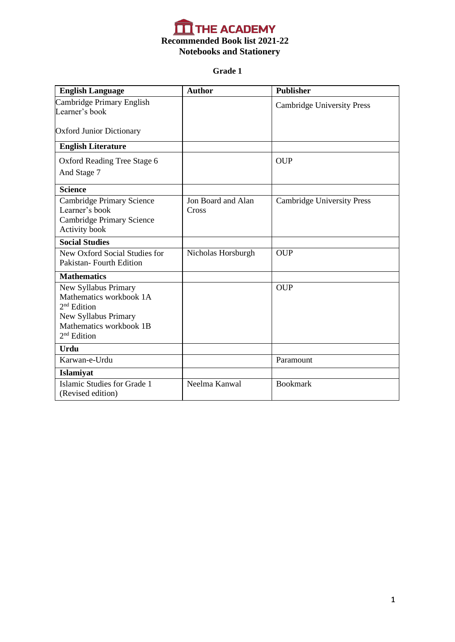

# **Grade 1**

| <b>English Language</b>                                                                                                              | <b>Author</b>               | <b>Publisher</b>                  |
|--------------------------------------------------------------------------------------------------------------------------------------|-----------------------------|-----------------------------------|
| Cambridge Primary English<br>Learner's book                                                                                          |                             | <b>Cambridge University Press</b> |
| <b>Oxford Junior Dictionary</b>                                                                                                      |                             |                                   |
| <b>English Literature</b>                                                                                                            |                             |                                   |
| Oxford Reading Tree Stage 6                                                                                                          |                             | <b>OUP</b>                        |
| And Stage 7                                                                                                                          |                             |                                   |
| <b>Science</b>                                                                                                                       |                             |                                   |
| <b>Cambridge Primary Science</b><br>Learner's book<br><b>Cambridge Primary Science</b><br>Activity book                              | Jon Board and Alan<br>Cross | <b>Cambridge University Press</b> |
| <b>Social Studies</b>                                                                                                                |                             |                                   |
| New Oxford Social Studies for<br>Pakistan-Fourth Edition                                                                             | Nicholas Horsburgh          | <b>OUP</b>                        |
| <b>Mathematics</b>                                                                                                                   |                             |                                   |
| New Syllabus Primary<br>Mathematics workbook 1A<br>$2nd$ Edition<br>New Syllabus Primary<br>Mathematics workbook 1B<br>$2nd$ Edition |                             | <b>OUP</b>                        |
| <b>Urdu</b>                                                                                                                          |                             |                                   |
| Karwan-e-Urdu                                                                                                                        |                             | Paramount                         |
| Islamiyat                                                                                                                            |                             |                                   |
| Islamic Studies for Grade 1<br>(Revised edition)                                                                                     | Neelma Kanwal               | <b>Bookmark</b>                   |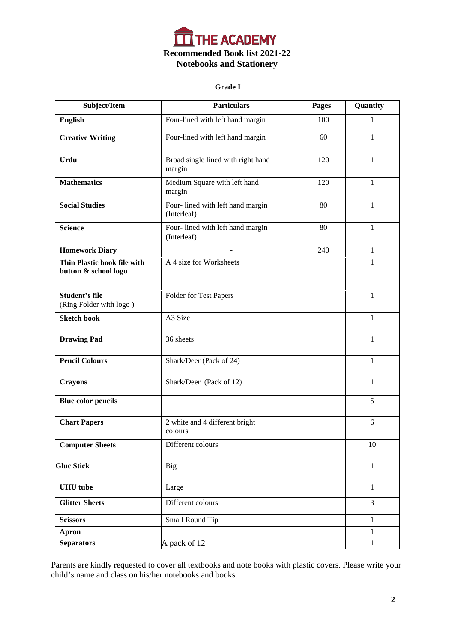

#### **Grade I**

| Subject/Item                                        | <b>Particulars</b>                              | <b>Pages</b> | Quantity       |
|-----------------------------------------------------|-------------------------------------------------|--------------|----------------|
| <b>English</b>                                      | Four-lined with left hand margin                | 100          | $\mathbf{1}$   |
| <b>Creative Writing</b>                             | Four-lined with left hand margin                | 60           | $\mathbf{1}$   |
| Urdu                                                | Broad single lined with right hand<br>margin    | 120          | 1              |
| <b>Mathematics</b>                                  | Medium Square with left hand<br>margin          | 120          | $\mathbf{1}$   |
| <b>Social Studies</b>                               | Four-lined with left hand margin<br>(Interleaf) | 80           | 1              |
| <b>Science</b>                                      | Four-lined with left hand margin<br>(Interleaf) | 80           | $\mathbf{1}$   |
| <b>Homework Diary</b>                               |                                                 | 240          | 1              |
| Thin Plastic book file with<br>button & school logo | A 4 size for Worksheets                         |              | 1              |
| <b>Student's file</b><br>(Ring Folder with logo)    | Folder for Test Papers                          |              | 1              |
| <b>Sketch book</b>                                  | A3 Size                                         |              | $\mathbf{1}$   |
| <b>Drawing Pad</b>                                  | 36 sheets                                       |              | $\mathbf{1}$   |
| <b>Pencil Colours</b>                               | Shark/Deer (Pack of 24)                         |              | 1              |
| <b>Crayons</b>                                      | Shark/Deer (Pack of 12)                         |              | $\mathbf{1}$   |
| <b>Blue color pencils</b>                           |                                                 |              | 5              |
| <b>Chart Papers</b>                                 | 2 white and 4 different bright<br>colours       |              | 6              |
| <b>Computer Sheets</b>                              | Different colours                               |              | $10\,$         |
| <b>Gluc Stick</b>                                   | <b>Big</b>                                      |              | $\mathbf{1}$   |
| <b>UHU</b> tube                                     | Large                                           |              | $\mathbf{1}$   |
| <b>Glitter Sheets</b>                               | Different colours                               |              | $\overline{3}$ |
| <b>Scissors</b>                                     | Small Round Tip                                 |              | $\mathbf{1}$   |
| <b>Apron</b>                                        |                                                 |              | $\mathbf{1}$   |
| <b>Separators</b>                                   | A pack of 12                                    |              | $\mathbf{1}$   |

Parents are kindly requested to cover all textbooks and note books with plastic covers. Please write your child's name and class on his/her notebooks and books.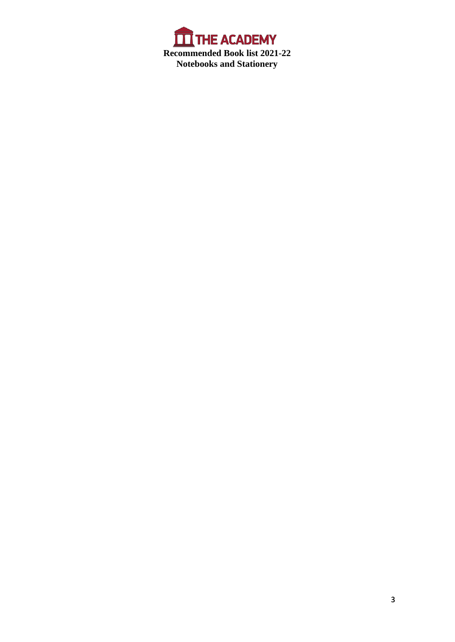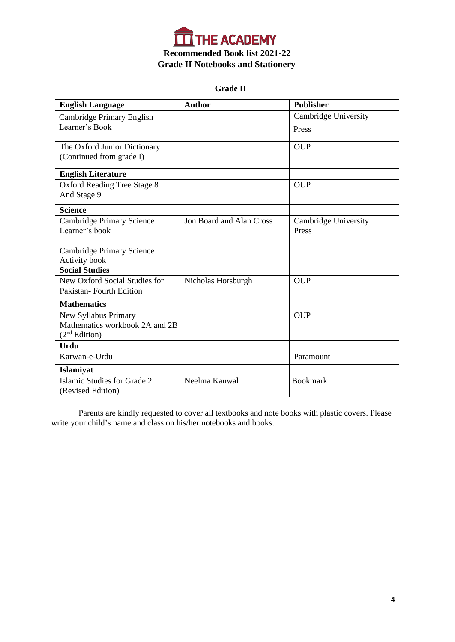

 **Grade II**

| <b>English Language</b>                           | <b>Author</b>                   | <b>Publisher</b>     |
|---------------------------------------------------|---------------------------------|----------------------|
| Cambridge Primary English                         |                                 | Cambridge University |
| Learner's Book                                    |                                 | Press                |
| The Oxford Junior Dictionary                      |                                 | <b>OUP</b>           |
| (Continued from grade I)                          |                                 |                      |
| <b>English Literature</b>                         |                                 |                      |
| <b>Oxford Reading Tree Stage 8</b><br>And Stage 9 |                                 | <b>OUP</b>           |
| <b>Science</b>                                    |                                 |                      |
| <b>Cambridge Primary Science</b>                  | <b>Jon Board and Alan Cross</b> | Cambridge University |
| Learner's book                                    |                                 | Press                |
|                                                   |                                 |                      |
| Cambridge Primary Science                         |                                 |                      |
| <b>Activity book</b><br><b>Social Studies</b>     |                                 |                      |
| New Oxford Social Studies for                     |                                 |                      |
| Pakistan-Fourth Edition                           | Nicholas Horsburgh              | <b>OUP</b>           |
|                                                   |                                 |                      |
| <b>Mathematics</b>                                |                                 |                      |
| New Syllabus Primary                              |                                 | <b>OUP</b>           |
| Mathematics workbook 2A and 2B                    |                                 |                      |
| (2 <sup>nd</sup> Edition)                         |                                 |                      |
| <b>Urdu</b>                                       |                                 |                      |
| Karwan-e-Urdu                                     |                                 | Paramount            |
| <b>Islamiyat</b>                                  |                                 |                      |
| Islamic Studies for Grade 2                       | Neelma Kanwal                   | <b>Bookmark</b>      |
| (Revised Edition)                                 |                                 |                      |

Parents are kindly requested to cover all textbooks and note books with plastic covers. Please write your child's name and class on his/her notebooks and books.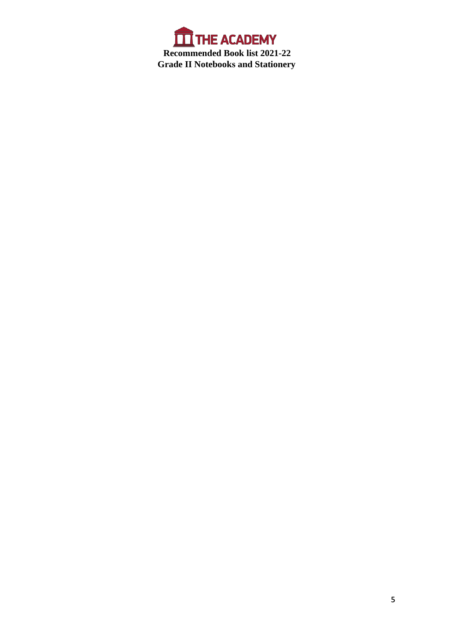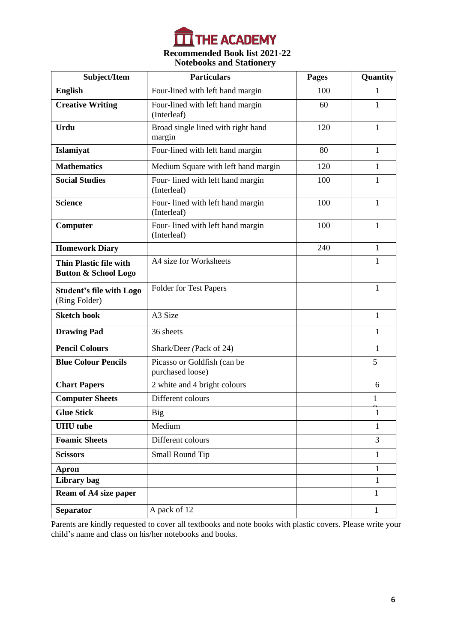

# **Notebooks and Stationery Recommended Book list 2021-22**

| Subject/Item                                              | <b>Particulars</b>                              | <b>Pages</b> | Quantity     |
|-----------------------------------------------------------|-------------------------------------------------|--------------|--------------|
| <b>English</b>                                            | Four-lined with left hand margin                | 100          | 1            |
| <b>Creative Writing</b>                                   | Four-lined with left hand margin<br>(Interleaf) | 60           | 1            |
| Urdu                                                      | Broad single lined with right hand<br>margin    | 120          | $\mathbf{1}$ |
| Islamiyat                                                 | Four-lined with left hand margin                | 80           | 1            |
| <b>Mathematics</b>                                        | Medium Square with left hand margin             | 120          | 1            |
| <b>Social Studies</b>                                     | Four-lined with left hand margin<br>(Interleaf) | 100          | 1            |
| <b>Science</b>                                            | Four-lined with left hand margin<br>(Interleaf) | 100          | 1            |
| Computer                                                  | Four-lined with left hand margin<br>(Interleaf) | 100          |              |
| <b>Homework Diary</b>                                     |                                                 | 240          | 1            |
| Thin Plastic file with<br><b>Button &amp; School Logo</b> | A4 size for Worksheets                          |              | 1            |
| <b>Student's file with Logo</b><br>(Ring Folder)          | Folder for Test Papers                          |              | 1            |
| <b>Sketch book</b>                                        | A3 Size                                         |              | 1            |
| <b>Drawing Pad</b>                                        | 36 sheets                                       |              | 1            |
| <b>Pencil Colours</b>                                     | Shark/Deer (Pack of 24)                         |              | 1            |
| <b>Blue Colour Pencils</b>                                | Picasso or Goldfish (can be<br>purchased loose) |              | 5            |
| <b>Chart Papers</b>                                       | 2 white and 4 bright colours                    |              | 6            |
| <b>Computer Sheets</b>                                    | Different colours                               |              | 1            |
| <b>Glue Stick</b>                                         | Big                                             |              | $\mathbf{1}$ |
| <b>UHU</b> tube                                           | Medium                                          |              | 1            |
| <b>Foamic Sheets</b>                                      | Different colours                               |              | 3            |
| <b>Scissors</b>                                           | Small Round Tip                                 |              | $\mathbf{1}$ |
| <b>Apron</b>                                              |                                                 |              | 1            |
| Library bag                                               |                                                 |              | 1            |
| Ream of A4 size paper                                     |                                                 |              | $\mathbf{1}$ |
| Separator                                                 | A pack of 12                                    |              | $\mathbf{1}$ |

Parents are kindly requested to cover all textbooks and note books with plastic covers. Please write your child's name and class on his/her notebooks and books.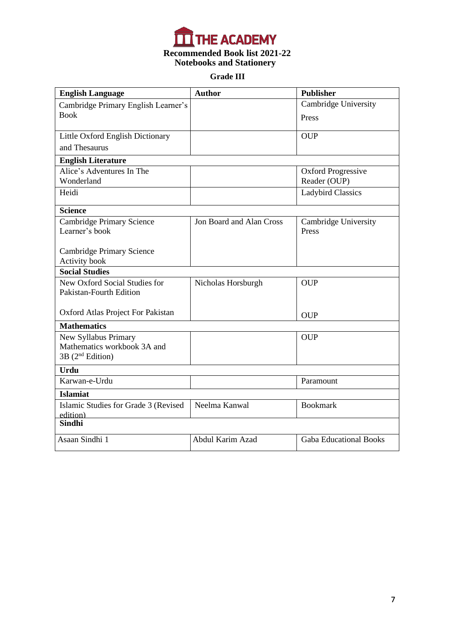

# **Grade III**

| <b>English Language</b>                                | <b>Author</b>            | <b>Publisher</b>                          |
|--------------------------------------------------------|--------------------------|-------------------------------------------|
| Cambridge Primary English Learner's                    |                          | Cambridge University                      |
| <b>Book</b>                                            |                          | Press                                     |
| Little Oxford English Dictionary                       |                          | <b>OUP</b>                                |
| and Thesaurus                                          |                          |                                           |
|                                                        |                          |                                           |
| <b>English Literature</b><br>Alice's Adventures In The |                          |                                           |
| Wonderland                                             |                          | <b>Oxford Progressive</b><br>Reader (OUP) |
| Heidi                                                  |                          | <b>Ladybird Classics</b>                  |
|                                                        |                          |                                           |
| <b>Science</b>                                         |                          |                                           |
| Cambridge Primary Science                              | Jon Board and Alan Cross | Cambridge University                      |
| Learner's book                                         |                          | Press                                     |
|                                                        |                          |                                           |
| Cambridge Primary Science                              |                          |                                           |
| Activity book<br><b>Social Studies</b>                 |                          |                                           |
| New Oxford Social Studies for                          | Nicholas Horsburgh       | <b>OUP</b>                                |
| <b>Pakistan-Fourth Edition</b>                         |                          |                                           |
|                                                        |                          |                                           |
| Oxford Atlas Project For Pakistan                      |                          | <b>OUP</b>                                |
| <b>Mathematics</b>                                     |                          |                                           |
| New Syllabus Primary                                   |                          | <b>OUP</b>                                |
| Mathematics workbook 3A and                            |                          |                                           |
| 3B (2 <sup>nd</sup> Edition)                           |                          |                                           |
| <b>Urdu</b>                                            |                          |                                           |
| Karwan-e-Urdu                                          |                          | Paramount                                 |
| <b>Islamiat</b>                                        |                          |                                           |
| Islamic Studies for Grade 3 (Revised                   | Neelma Kanwal            | <b>Bookmark</b>                           |
| edition)                                               |                          |                                           |
| <b>Sindhi</b>                                          |                          |                                           |
| Asaan Sindhi 1                                         | Abdul Karim Azad         | <b>Gaba Educational Books</b>             |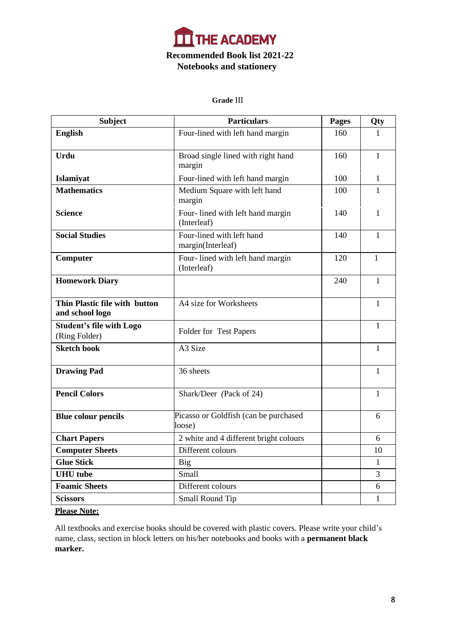

#### **Grade** III

| <b>Subject</b>                                   | <b>Particulars</b>                              | <b>Pages</b> | Qty          |
|--------------------------------------------------|-------------------------------------------------|--------------|--------------|
| <b>English</b>                                   | Four-lined with left hand margin                | 160          | $\mathbf{1}$ |
| <b>Urdu</b>                                      | Broad single lined with right hand<br>margin    | 160          | $\mathbf{1}$ |
| Islamiyat                                        | Four-lined with left hand margin                | 100          | 1            |
| <b>Mathematics</b>                               | Medium Square with left hand<br>margin          | 100          | $\mathbf{1}$ |
| <b>Science</b>                                   | Four-lined with left hand margin<br>(Interleaf) | 140          | 1            |
| <b>Social Studies</b>                            | Four-lined with left hand<br>margin(Interleaf)  | 140          | 1            |
| Computer                                         | Four-lined with left hand margin<br>(Interleaf) | 120          | 1            |
| <b>Homework Diary</b>                            |                                                 | 240          | 1            |
| Thin Plastic file with button<br>and school logo | A4 size for Worksheets                          |              | 1            |
| <b>Student's file with Logo</b><br>(Ring Folder) | Folder for Test Papers                          |              | $\mathbf{1}$ |
| <b>Sketch book</b>                               | A <sub>3</sub> Size                             |              | 1            |
| <b>Drawing Pad</b>                               | 36 sheets                                       |              | 1            |
| <b>Pencil Colors</b>                             | Shark/Deer (Pack of 24)                         |              | 1            |
| <b>Blue colour pencils</b>                       | Picasso or Goldfish (can be purchased<br>loose) |              | 6            |
| <b>Chart Papers</b>                              | 2 white and 4 different bright colours          |              | 6            |
| <b>Computer Sheets</b>                           | Different colours                               |              | 10           |
| <b>Glue Stick</b>                                | <b>Big</b>                                      |              | $\mathbf{1}$ |
| <b>UHU</b> tube                                  | Small                                           |              | 3            |
| <b>Foamic Sheets</b>                             | Different colours                               |              | 6            |
| <b>Scissors</b>                                  | Small Round Tip                                 |              | 1            |

# **Please Note:**

All textbooks and exercise books should be covered with plastic covers. Please write your child's name, class, section in block letters on his/her notebooks and books with a **permanent black marker.**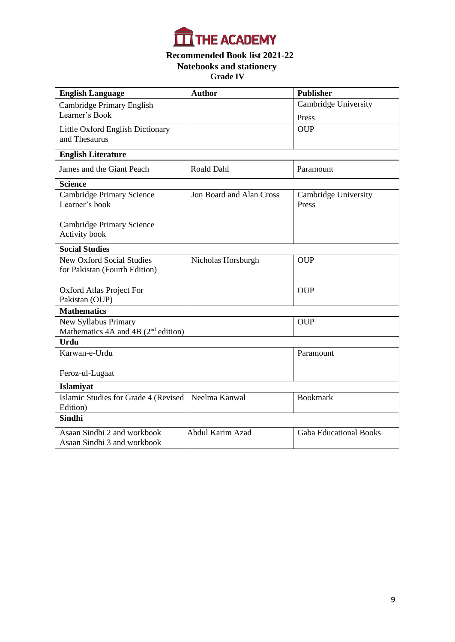

# **Notebooks and stationery Grade III Grade IV Recommended Book list 2021-22**

| <b>English Language</b>                            | <b>Author</b>            | <b>Publisher</b>              |
|----------------------------------------------------|--------------------------|-------------------------------|
| <b>Cambridge Primary English</b>                   |                          | <b>Cambridge University</b>   |
| Learner's Book                                     |                          | Press                         |
| Little Oxford English Dictionary                   |                          | <b>OUP</b>                    |
| and Thesaurus                                      |                          |                               |
| <b>English Literature</b>                          |                          |                               |
| James and the Giant Peach                          | Roald Dahl               | Paramount                     |
| <b>Science</b>                                     |                          |                               |
| <b>Cambridge Primary Science</b><br>Learner's book | Jon Board and Alan Cross | Cambridge University<br>Press |
| Cambridge Primary Science<br>Activity book         |                          |                               |
| <b>Social Studies</b>                              |                          |                               |
| <b>New Oxford Social Studies</b>                   | Nicholas Horsburgh       | <b>OUP</b>                    |
| for Pakistan (Fourth Edition)                      |                          |                               |
| Oxford Atlas Project For                           |                          | <b>OUP</b>                    |
| Pakistan (OUP)                                     |                          |                               |
| <b>Mathematics</b>                                 |                          |                               |
| New Syllabus Primary                               |                          | <b>OUP</b>                    |
| Mathematics $4A$ and $4B$ ( $2nd$ edition)         |                          |                               |
| <b>Urdu</b>                                        |                          |                               |
| Karwan-e-Urdu                                      |                          | Paramount                     |
| Feroz-ul-Lugaat                                    |                          |                               |
| Islamiyat                                          |                          |                               |
| Islamic Studies for Grade 4 (Revised               | Neelma Kanwal            | <b>Bookmark</b>               |
| Edition)                                           |                          |                               |
| Sindhi                                             |                          |                               |
| Asaan Sindhi 2 and workbook                        | Abdul Karim Azad         | <b>Gaba Educational Books</b> |
| Asaan Sindhi 3 and workbook                        |                          |                               |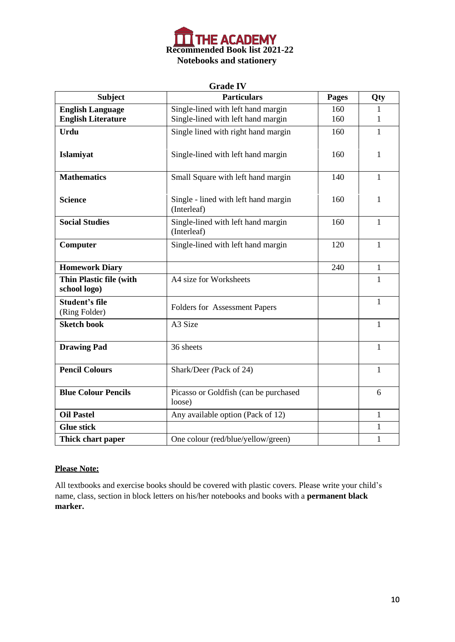

#### **Grade IV**

| <b>Subject</b>                          | <b>Particulars</b>                                  | <b>Pages</b> | Qty          |
|-----------------------------------------|-----------------------------------------------------|--------------|--------------|
| <b>English Language</b>                 | Single-lined with left hand margin                  | 160          | 1            |
| <b>English Literature</b>               | Single-lined with left hand margin                  | 160          | 1            |
| <b>Urdu</b>                             | Single lined with right hand margin                 | 160          | $\mathbf{1}$ |
| Islamiyat                               | Single-lined with left hand margin                  | 160          | 1            |
| <b>Mathematics</b>                      | Small Square with left hand margin                  | 140          | 1            |
| <b>Science</b>                          | Single - lined with left hand margin<br>(Interleaf) | 160          | 1            |
| <b>Social Studies</b>                   | Single-lined with left hand margin<br>(Interleaf)   | 160          | 1            |
| Computer                                | Single-lined with left hand margin                  | 120          | $\mathbf{1}$ |
| <b>Homework Diary</b>                   |                                                     | 240          | 1            |
| Thin Plastic file (with<br>school logo) | A4 size for Worksheets                              |              | $\mathbf{1}$ |
| <b>Student's file</b><br>(Ring Folder)  | Folders for Assessment Papers                       |              | $\mathbf{1}$ |
| <b>Sketch book</b>                      | A3 Size                                             |              | 1            |
| <b>Drawing Pad</b>                      | 36 sheets                                           |              | $\mathbf{1}$ |
| <b>Pencil Colours</b>                   | Shark/Deer (Pack of 24)                             |              | 1            |
| <b>Blue Colour Pencils</b>              | Picasso or Goldfish (can be purchased<br>loose)     |              | 6            |
| <b>Oil Pastel</b>                       | Any available option (Pack of 12)                   |              | $\mathbf{1}$ |
| <b>Glue stick</b>                       |                                                     |              | $\mathbf{1}$ |
| Thick chart paper                       | One colour (red/blue/yellow/green)                  |              | 1            |

# **Please Note:**

All textbooks and exercise books should be covered with plastic covers. Please write your child's name, class, section in block letters on his/her notebooks and books with a **permanent black marker.**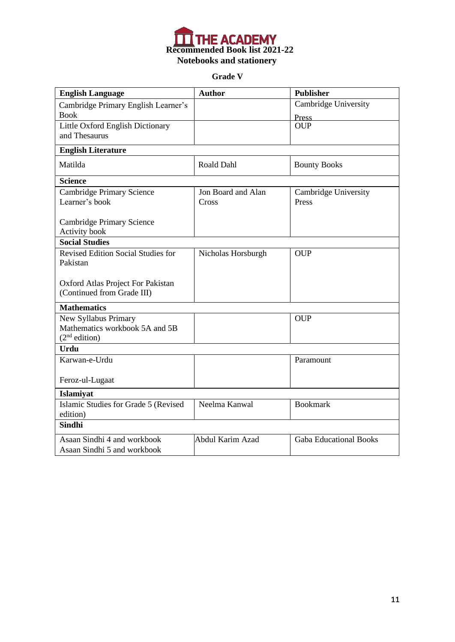

**Grade V**

| <b>English Language</b>                           | <b>Author</b>      | <b>Publisher</b>              |
|---------------------------------------------------|--------------------|-------------------------------|
| Cambridge Primary English Learner's               |                    | <b>Cambridge University</b>   |
| <b>Book</b>                                       |                    | <b>Press</b>                  |
| Little Oxford English Dictionary                  |                    | <b>OUP</b>                    |
| and Thesaurus                                     |                    |                               |
| <b>English Literature</b>                         |                    |                               |
| Matilda                                           | Roald Dahl         | <b>Bounty Books</b>           |
| <b>Science</b>                                    |                    |                               |
| <b>Cambridge Primary Science</b>                  | Jon Board and Alan | Cambridge University          |
| Learner's book                                    | Cross              | Press                         |
|                                                   |                    |                               |
| <b>Cambridge Primary Science</b><br>Activity book |                    |                               |
| <b>Social Studies</b>                             |                    |                               |
| Revised Edition Social Studies for                | Nicholas Horsburgh | <b>OUP</b>                    |
| Pakistan                                          |                    |                               |
|                                                   |                    |                               |
| Oxford Atlas Project For Pakistan                 |                    |                               |
| (Continued from Grade III)                        |                    |                               |
| <b>Mathematics</b>                                |                    |                               |
| New Syllabus Primary                              |                    | <b>OUP</b>                    |
| Mathematics workbook 5A and 5B                    |                    |                               |
| (2 <sup>nd</sup> edition)                         |                    |                               |
| <b>Urdu</b>                                       |                    |                               |
| Karwan-e-Urdu                                     |                    | Paramount                     |
|                                                   |                    |                               |
| Feroz-ul-Lugaat                                   |                    |                               |
| Islamiyat                                         |                    |                               |
| Islamic Studies for Grade 5 (Revised              | Neelma Kanwal      | <b>Bookmark</b>               |
| edition)                                          |                    |                               |
| <b>Sindhi</b>                                     |                    |                               |
| Asaan Sindhi 4 and workbook                       | Abdul Karim Azad   | <b>Gaba Educational Books</b> |
| Asaan Sindhi 5 and workbook                       |                    |                               |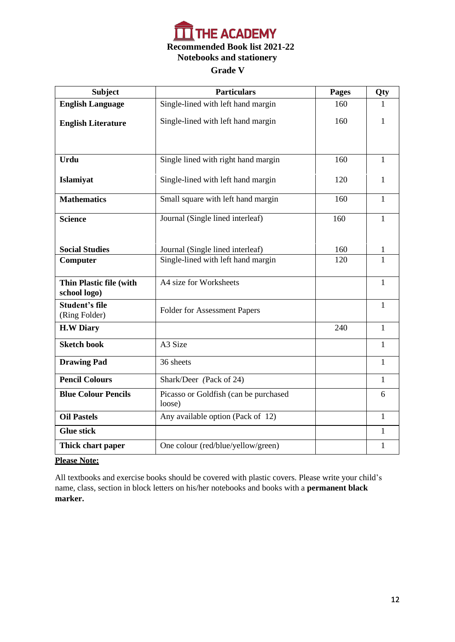

| <b>Subject</b>                          | <b>Particulars</b>                              | Pages | Qty          |
|-----------------------------------------|-------------------------------------------------|-------|--------------|
| <b>English Language</b>                 | Single-lined with left hand margin              | 160   | 1            |
| <b>English Literature</b>               | Single-lined with left hand margin              | 160   | 1            |
|                                         |                                                 |       |              |
| <b>Urdu</b>                             | Single lined with right hand margin             | 160   | 1            |
| Islamiyat                               | Single-lined with left hand margin              | 120   | 1            |
| <b>Mathematics</b>                      | Small square with left hand margin              | 160   | $\mathbf{1}$ |
| <b>Science</b>                          | Journal (Single lined interleaf)                | 160   | 1            |
|                                         |                                                 |       |              |
| <b>Social Studies</b>                   | Journal (Single lined interleaf)                | 160   | 1            |
| Computer                                | Single-lined with left hand margin              | 120   | 1            |
| Thin Plastic file (with<br>school logo) | A4 size for Worksheets                          |       | $\mathbf{1}$ |
| <b>Student's file</b><br>(Ring Folder)  | <b>Folder for Assessment Papers</b>             |       | $\mathbf{1}$ |
| <b>H.W Diary</b>                        |                                                 | 240   | 1            |
| <b>Sketch book</b>                      | A <sub>3</sub> Size                             |       | $\mathbf{1}$ |
| <b>Drawing Pad</b>                      | 36 sheets                                       |       | $\mathbf{1}$ |
| <b>Pencil Colours</b>                   | Shark/Deer (Pack of 24)                         |       | $\mathbf{1}$ |
| <b>Blue Colour Pencils</b>              | Picasso or Goldfish (can be purchased<br>loose) |       | 6            |
| <b>Oil Pastels</b>                      | Any available option (Pack of 12)               |       | 1            |
| <b>Glue stick</b>                       |                                                 |       | 1            |
| Thick chart paper                       | One colour (red/blue/yellow/green)              |       | $\mathbf{1}$ |

#### **Please Note:**

All textbooks and exercise books should be covered with plastic covers. Please write your child's name, class, section in block letters on his/her notebooks and books with a **permanent black marker.**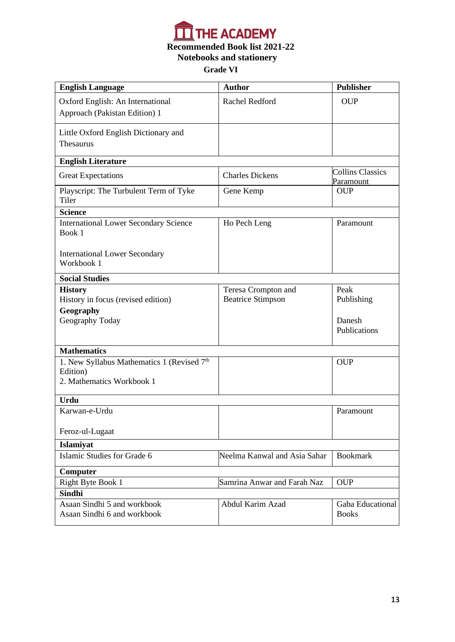

| <b>English Language</b>                                    | <b>Author</b>                | <b>Publisher</b>                     |
|------------------------------------------------------------|------------------------------|--------------------------------------|
| Oxford English: An International                           | Rachel Redford               | <b>OUP</b>                           |
| Approach (Pakistan Edition) 1                              |                              |                                      |
|                                                            |                              |                                      |
| Little Oxford English Dictionary and<br>Thesaurus          |                              |                                      |
|                                                            |                              |                                      |
| <b>English Literature</b>                                  |                              |                                      |
| <b>Great Expectations</b>                                  | <b>Charles Dickens</b>       | <b>Collins Classics</b><br>Paramount |
| Playscript: The Turbulent Term of Tyke<br>Tiler            | Gene Kemp                    | <b>OUP</b>                           |
| <b>Science</b>                                             |                              |                                      |
| <b>International Lower Secondary Science</b><br>Book 1     | Ho Pech Leng                 | Paramount                            |
| <b>International Lower Secondary</b><br>Workbook 1         |                              |                                      |
| <b>Social Studies</b>                                      |                              |                                      |
| <b>History</b>                                             | Teresa Crompton and          | Peak                                 |
| History in focus (revised edition)                         | <b>Beatrice Stimpson</b>     | Publishing                           |
| Geography                                                  |                              |                                      |
| Geography Today                                            |                              | Danesh<br>Publications               |
|                                                            |                              |                                      |
| <b>Mathematics</b>                                         |                              |                                      |
| 1. New Syllabus Mathematics 1 (Revised 7th                 |                              | <b>OUP</b>                           |
| Edition)                                                   |                              |                                      |
| 2. Mathematics Workbook 1                                  |                              |                                      |
| <b>Urdu</b>                                                |                              |                                      |
| Karwan-e-Urdu                                              |                              | Paramount                            |
| Feroz-ul-Lugaat                                            |                              |                                      |
| Islamiyat                                                  |                              |                                      |
| Islamic Studies for Grade 6                                | Neelma Kanwal and Asia Sahar | <b>Bookmark</b>                      |
| Computer                                                   |                              |                                      |
| Right Byte Book 1                                          | Samrina Anwar and Farah Naz  | <b>OUP</b>                           |
| <b>Sindhi</b>                                              |                              |                                      |
| Asaan Sindhi 5 and workbook<br>Asaan Sindhi 6 and workbook | Abdul Karim Azad             | Gaba Educational<br><b>Books</b>     |
|                                                            |                              |                                      |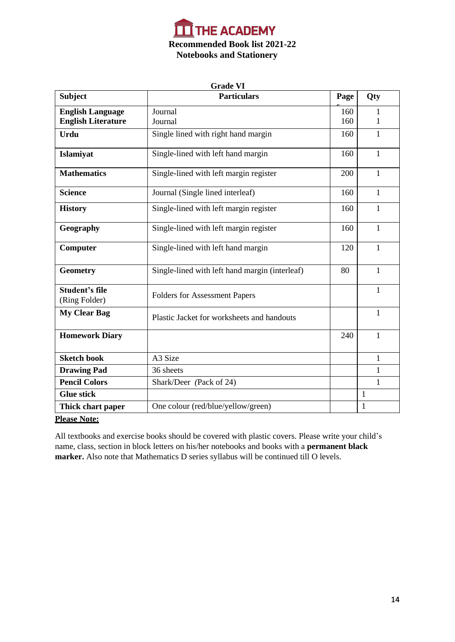

| <b>Grade VI</b>                        |                                                |      |              |
|----------------------------------------|------------------------------------------------|------|--------------|
| <b>Subject</b>                         | <b>Particulars</b>                             | Page | Qty          |
| <b>English Language</b>                | Journal                                        | 160  | 1            |
| <b>English Literature</b>              | Journal                                        | 160  | 1            |
| <b>Urdu</b>                            | Single lined with right hand margin            | 160  | $\mathbf{1}$ |
| Islamiyat                              | Single-lined with left hand margin             | 160  | 1            |
| <b>Mathematics</b>                     | Single-lined with left margin register         | 200  | 1            |
| <b>Science</b>                         | Journal (Single lined interleaf)               | 160  | $\mathbf{1}$ |
| <b>History</b>                         | Single-lined with left margin register         | 160  | 1            |
| Geography                              | Single-lined with left margin register         | 160  | $\mathbf{1}$ |
| Computer                               | Single-lined with left hand margin             | 120  | 1            |
| <b>Geometry</b>                        | Single-lined with left hand margin (interleaf) | 80   | 1            |
| <b>Student's file</b><br>(Ring Folder) | <b>Folders for Assessment Papers</b>           |      | 1            |
| <b>My Clear Bag</b>                    | Plastic Jacket for worksheets and handouts     |      | 1            |
| <b>Homework Diary</b>                  |                                                | 240  | 1            |
| <b>Sketch book</b>                     | A3 Size                                        |      | $\mathbf{1}$ |
| <b>Drawing Pad</b>                     | 36 sheets                                      |      | $\mathbf{1}$ |
| <b>Pencil Colors</b>                   | Shark/Deer (Pack of 24)                        |      | $\mathbf{1}$ |
| <b>Glue stick</b>                      |                                                |      | $\mathbf{1}$ |
| Thick chart paper                      | One colour (red/blue/yellow/green)             |      | $\mathbf{1}$ |

# **Please Note:**

All textbooks and exercise books should be covered with plastic covers. Please write your child's name, class, section in block letters on his/her notebooks and books with a **permanent black marker.** Also note that Mathematics D series syllabus will be continued till O levels.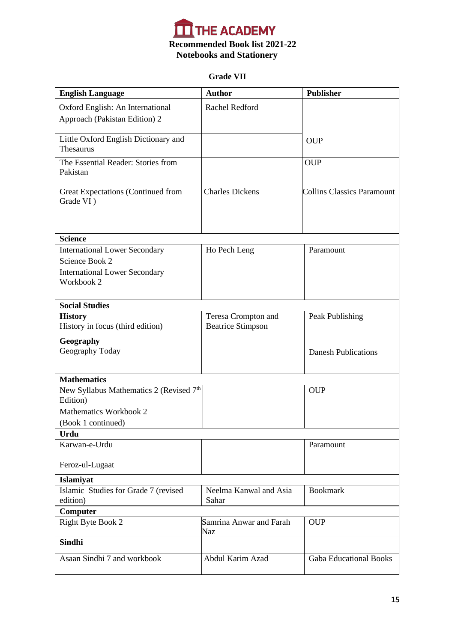

# **Grade VII**

| <b>English Language</b>                                | <b>Author</b>            | <b>Publisher</b>                  |
|--------------------------------------------------------|--------------------------|-----------------------------------|
| Oxford English: An International                       | Rachel Redford           |                                   |
| Approach (Pakistan Edition) 2                          |                          |                                   |
| Little Oxford English Dictionary and                   |                          | <b>OUP</b>                        |
| Thesaurus                                              |                          |                                   |
| The Essential Reader: Stories from                     |                          | <b>OUP</b>                        |
| Pakistan                                               |                          |                                   |
| <b>Great Expectations (Continued from</b><br>Grade VI) | <b>Charles Dickens</b>   | <b>Collins Classics Paramount</b> |
|                                                        |                          |                                   |
|                                                        |                          |                                   |
| <b>Science</b>                                         |                          |                                   |
| <b>International Lower Secondary</b>                   | Ho Pech Leng             | Paramount                         |
| Science Book 2<br><b>International Lower Secondary</b> |                          |                                   |
| Workbook 2                                             |                          |                                   |
|                                                        |                          |                                   |
| <b>Social Studies</b>                                  |                          |                                   |
| <b>History</b>                                         | Teresa Crompton and      | Peak Publishing                   |
| History in focus (third edition)                       | <b>Beatrice Stimpson</b> |                                   |
| Geography                                              |                          |                                   |
| Geography Today                                        |                          | <b>Danesh Publications</b>        |
|                                                        |                          |                                   |
| <b>Mathematics</b>                                     |                          |                                   |
| New Syllabus Mathematics 2 (Revised 7th<br>Edition)    |                          | <b>OUP</b>                        |
| Mathematics Workbook 2                                 |                          |                                   |
| (Book 1 continued)                                     |                          |                                   |
| <b>Urdu</b>                                            |                          |                                   |
| Karwan-e-Urdu                                          |                          | Paramount                         |
| Feroz-ul-Lugaat                                        |                          |                                   |
| Islamiyat                                              |                          |                                   |
| Islamic Studies for Grade 7 (revised                   | Neelma Kanwal and Asia   | <b>Bookmark</b>                   |
| edition)                                               | Sahar                    |                                   |
| Computer                                               | Samrina Anwar and Farah  | <b>OUP</b>                        |
| Right Byte Book 2                                      | Naz                      |                                   |
| <b>Sindhi</b>                                          |                          |                                   |
| Asaan Sindhi 7 and workbook                            | Abdul Karim Azad         | <b>Gaba Educational Books</b>     |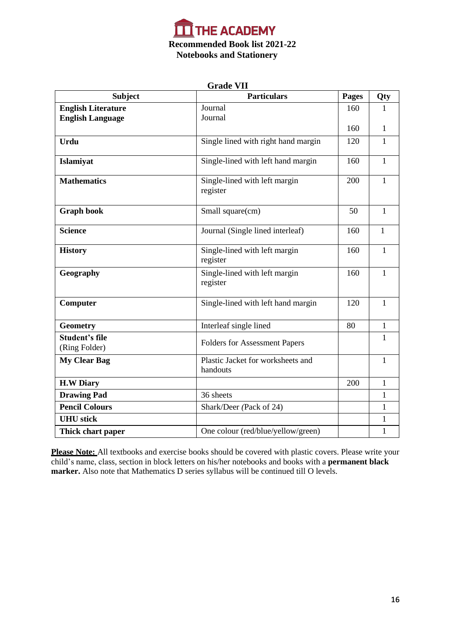

| <b>Grade VII</b>                                     |                                               |              |              |
|------------------------------------------------------|-----------------------------------------------|--------------|--------------|
| <b>Subject</b>                                       | <b>Particulars</b>                            | <b>Pages</b> | Qty          |
| <b>English Literature</b><br><b>English Language</b> | Journal<br>Journal                            | 160          | 1            |
|                                                      |                                               | 160          | 1            |
| <b>Urdu</b>                                          | Single lined with right hand margin           | 120          | 1            |
| Islamiyat                                            | Single-lined with left hand margin            | 160          | $\mathbf{1}$ |
| <b>Mathematics</b>                                   | Single-lined with left margin<br>register     | 200          | 1            |
| <b>Graph book</b>                                    | Small square(cm)                              | 50           | $\mathbf{1}$ |
| <b>Science</b>                                       | Journal (Single lined interleaf)              | 160          | 1            |
| <b>History</b>                                       | Single-lined with left margin<br>register     | 160          | 1            |
| Geography                                            | Single-lined with left margin<br>register     | 160          | $\mathbf{1}$ |
| Computer                                             | Single-lined with left hand margin            | 120          | 1            |
| Geometry                                             | Interleaf single lined                        | 80           | $\mathbf{1}$ |
| Student's file<br>(Ring Folder)                      | <b>Folders for Assessment Papers</b>          |              | 1            |
| <b>My Clear Bag</b>                                  | Plastic Jacket for worksheets and<br>handouts |              | 1            |
| <b>H.W Diary</b>                                     |                                               | 200          | 1            |
| <b>Drawing Pad</b>                                   | 36 sheets                                     |              | $\mathbf{1}$ |
| <b>Pencil Colours</b>                                | Shark/Deer (Pack of 24)                       |              | 1            |
| <b>UHU</b> stick                                     |                                               |              | 1            |
| Thick chart paper                                    | One colour (red/blue/yellow/green)            |              | $\mathbf{1}$ |

**Please Note:** All textbooks and exercise books should be covered with plastic covers. Please write your child's name, class, section in block letters on his/her notebooks and books with a **permanent black marker.** Also note that Mathematics D series syllabus will be continued till O levels.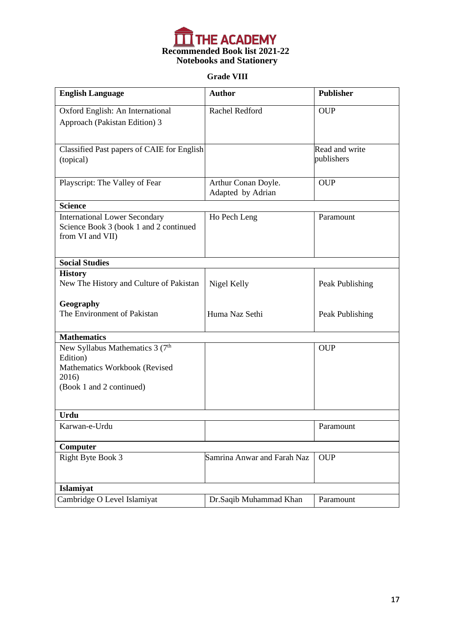

# **Grade VIII**

| <b>English Language</b>                                                                                                       | <b>Author</b>                            | <b>Publisher</b>             |
|-------------------------------------------------------------------------------------------------------------------------------|------------------------------------------|------------------------------|
| Oxford English: An International<br>Approach (Pakistan Edition) 3                                                             | Rachel Redford                           | <b>OUP</b>                   |
| Classified Past papers of CAIE for English<br>(topical)                                                                       |                                          | Read and write<br>publishers |
| Playscript: The Valley of Fear                                                                                                | Arthur Conan Doyle.<br>Adapted by Adrian | <b>OUP</b>                   |
| <b>Science</b>                                                                                                                |                                          |                              |
| <b>International Lower Secondary</b><br>Science Book 3 (book 1 and 2 continued<br>from VI and VII)                            | Ho Pech Leng                             | Paramount                    |
| <b>Social Studies</b>                                                                                                         |                                          |                              |
| <b>History</b>                                                                                                                |                                          |                              |
| New The History and Culture of Pakistan                                                                                       | Nigel Kelly                              | Peak Publishing              |
| Geography<br>The Environment of Pakistan                                                                                      | Huma Naz Sethi                           | Peak Publishing              |
| <b>Mathematics</b>                                                                                                            |                                          |                              |
| New Syllabus Mathematics 3 (7 <sup>th</sup><br>Edition)<br>Mathematics Workbook (Revised<br>2016)<br>(Book 1 and 2 continued) |                                          | <b>OUP</b>                   |
| <b>Urdu</b>                                                                                                                   |                                          |                              |
| Karwan-e-Urdu                                                                                                                 |                                          | Paramount                    |
| Computer                                                                                                                      |                                          |                              |
| Right Byte Book 3                                                                                                             | Samrina Anwar and Farah Naz              | <b>OUP</b>                   |
| Islamiyat                                                                                                                     |                                          |                              |
| Cambridge O Level Islamiyat                                                                                                   | Dr.Saqib Muhammad Khan                   | Paramount                    |